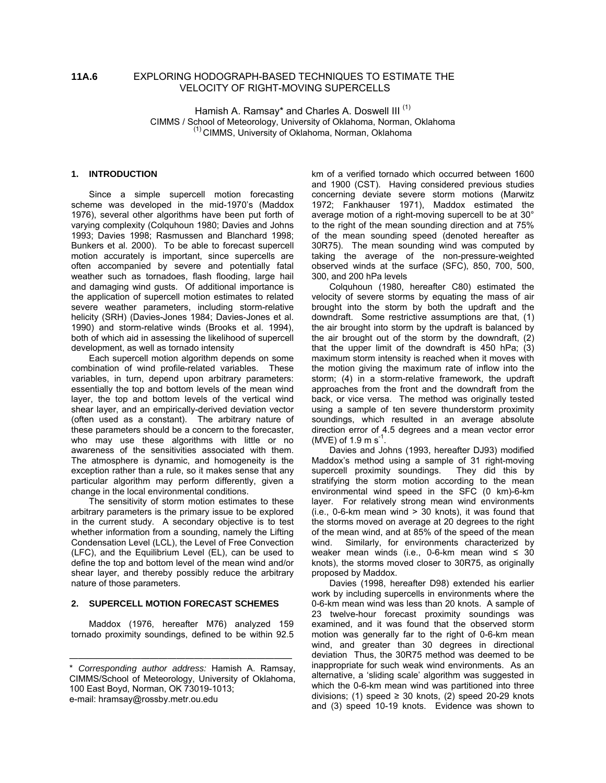# **11A.6** EXPLORING HODOGRAPH-BASED TECHNIQUES TO ESTIMATE THE VELOCITY OF RIGHT-MOVING SUPERCELLS

Hamish A. Ramsay\* and Charles A. Doswell III<sup>(1)</sup> CIMMS / School of Meteorology, University of Oklahoma, Norman, Oklahoma (1) CIMMS, University of Oklahoma, Norman, Oklahoma

## **1. INTRODUCTION**

Since a simple supercell motion forecasting scheme was developed in the mid-1970's (Maddox 1976), several other algorithms have been put forth of varying complexity (Colquhoun 1980; Davies and Johns 1993; Davies 1998; Rasmussen and Blanchard 1998; Bunkers et al. 2000). To be able to forecast supercell motion accurately is important, since supercells are often accompanied by severe and potentially fatal weather such as tornadoes, flash flooding, large hail and damaging wind gusts. Of additional importance is the application of supercell motion estimates to related severe weather parameters, including storm-relative helicity (SRH) (Davies-Jones 1984; Davies-Jones et al. 1990) and storm-relative winds (Brooks et al. 1994), both of which aid in assessing the likelihood of supercell development, as well as tornado intensity

Each supercell motion algorithm depends on some combination of wind profile-related variables. These variables, in turn, depend upon arbitrary parameters: essentially the top and bottom levels of the mean wind layer, the top and bottom levels of the vertical wind shear layer, and an empirically-derived deviation vector (often used as a constant). The arbitrary nature of these parameters should be a concern to the forecaster, who may use these algorithms with little or no awareness of the sensitivities associated with them. The atmosphere is dynamic, and homogeneity is the exception rather than a rule, so it makes sense that any particular algorithm may perform differently, given a change in the local environmental conditions.

The sensitivity of storm motion estimates to these arbitrary parameters is the primary issue to be explored in the current study. A secondary objective is to test whether information from a sounding, namely the Lifting Condensation Level (LCL), the Level of Free Convection (LFC), and the Equilibrium Level (EL), can be used to define the top and bottom level of the mean wind and/or shear layer, and thereby possibly reduce the arbitrary nature of those parameters.

### **2. SUPERCELL MOTION FORECAST SCHEMES**

Maddox (1976, hereafter M76) analyzed 159 tornado proximity soundings, defined to be within 92.5

—————————————————————————

km of a verified tornado which occurred between 1600 and 1900 (CST). Having considered previous studies concerning deviate severe storm motions (Marwitz 1972; Fankhauser 1971), Maddox estimated the average motion of a right-moving supercell to be at 30° to the right of the mean sounding direction and at 75% of the mean sounding speed (denoted hereafter as 30R75). The mean sounding wind was computed by taking the average of the non-pressure-weighted observed winds at the surface (SFC), 850, 700, 500, 300, and 200 hPa levels

Colquhoun (1980, hereafter C80) estimated the velocity of severe storms by equating the mass of air brought into the storm by both the updraft and the downdraft. Some restrictive assumptions are that, (1) the air brought into storm by the updraft is balanced by the air brought out of the storm by the downdraft, (2) that the upper limit of the downdraft is 450 hPa; (3) maximum storm intensity is reached when it moves with the motion giving the maximum rate of inflow into the storm; (4) in a storm-relative framework, the updraft approaches from the front and the downdraft from the back, or vice versa. The method was originally tested using a sample of ten severe thunderstorm proximity soundings, which resulted in an average absolute direction error of 4.5 degrees and a mean vector error (MVE) of 1.9 m  $s^{-1}$ .

Davies and Johns (1993, hereafter DJ93) modified Maddox's method using a sample of 31 right-moving supercell proximity soundings. They did this by stratifying the storm motion according to the mean environmental wind speed in the SFC (0 km)-6-km layer. For relatively strong mean wind environments  $(i.e., 0-6-km$  mean wind  $> 30$  knots), it was found that the storms moved on average at 20 degrees to the right of the mean wind, and at 85% of the speed of the mean wind. Similarly, for environments characterized by weaker mean winds (i.e., 0-6-km mean wind  $\leq$  30 knots), the storms moved closer to 30R75, as originally proposed by Maddox.

Davies (1998, hereafter D98) extended his earlier work by including supercells in environments where the 0-6-km mean wind was less than 20 knots. A sample of 23 twelve-hour forecast proximity soundings was examined, and it was found that the observed storm motion was generally far to the right of 0-6-km mean wind, and greater than 30 degrees in directional deviation Thus, the 30R75 method was deemed to be inappropriate for such weak wind environments. As an alternative, a 'sliding scale' algorithm was suggested in which the 0-6-km mean wind was partitioned into three divisions; (1) speed  $\geq$  30 knots, (2) speed 20-29 knots and (3) speed 10-19 knots. Evidence was shown to

<sup>\*</sup> *Corresponding author address:* Hamish A. Ramsay, CIMMS/School of Meteorology, University of Oklahoma, 100 East Boyd, Norman, OK 73019-1013; e-mail: hramsay@rossby.metr.ou.edu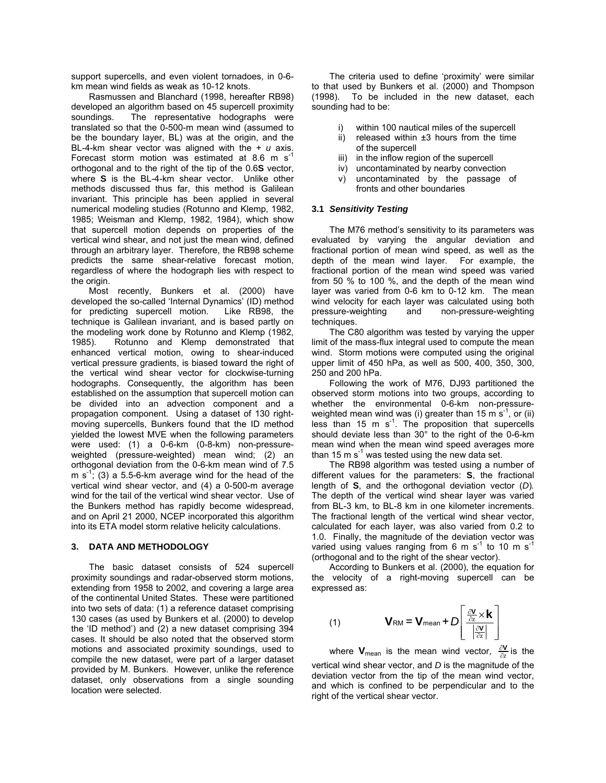support supercells, and even violent tornadoes, in 0-6 km mean wind fields as weak as 10-12 knots.

Rasmussen and Blanchard (1998, hereafter RB98) developed an algorithm based on 45 supercell proximity soundings. The representative hodographs were translated so that the 0-500-m mean wind (assumed to be the boundary layer, BL) was at the origin, and the BL-4-km shear vector was aligned with the + *u* axis. Forecast storm motion was estimated at 8.6 m  $s^{-1}$ orthogonal and to the right of the tip of the 0.6**S** vector, where **S** is the BL-4-km shear vector. Unlike other methods discussed thus far, this method is Galilean invariant. This principle has been applied in several numerical modeling studies (Rotunno and Klemp, 1982, 1985; Weisman and Klemp, 1982, 1984), which show that supercell motion depends on properties of the vertical wind shear, and not just the mean wind, defined through an arbitrary layer. Therefore, the RB98 scheme predicts the same shear-relative forecast motion, regardless of where the hodograph lies with respect to the origin.

Most recently, Bunkers et al. (2000) have developed the so-called 'Internal Dynamics' (ID) method for predicting supercell motion. Like RB98, the technique is Galilean invariant, and is based partly on the modeling work done by Rotunno and Klemp (1982, 1985). Rotunno and Klemp demonstrated that enhanced vertical motion, owing to shear-induced vertical pressure gradients, is biased toward the right of the vertical wind shear vector for clockwise-turning hodographs. Consequently, the algorithm has been established on the assumption that supercell motion can be divided into an advection component and a propagation component. Using a dataset of 130 rightmoving supercells, Bunkers found that the ID method yielded the lowest MVE when the following parameters were used: (1) a 0-6-km (0-8-km) non-pressureweighted (pressure-weighted) mean wind; (2) an orthogonal deviation from the 0-6-km mean wind of 7.5 m  $s^{-1}$ ; (3) a 5.5-6-km average wind for the head of the vertical wind shear vector, and (4) a 0-500-m average wind for the tail of the vertical wind shear vector. Use of the Bunkers method has rapidly become widespread, and on April 21 2000, NCEP incorporated this algorithm into its ETA model storm relative helicity calculations.

#### **3. DATA AND METHODOLOGY**

The basic dataset consists of 524 supercell proximity soundings and radar-observed storm motions, extending from 1958 to 2002, and covering a large area of the continental United States. These were partitioned into two sets of data: (1) a reference dataset comprising 130 cases (as used by Bunkers et al. (2000) to develop the 'ID method') and (2) a new dataset comprising 394 cases. It should be also noted that the observed storm motions and associated proximity soundings, used to compile the new dataset, were part of a larger dataset provided by M. Bunkers. However, unlike the reference dataset, only observations from a single sounding location were selected.

The criteria used to define 'proximity' were similar to that used by Bunkers et al. (2000) and Thompson (1998). To be included in the new dataset, each sounding had to be:

- within 100 nautical miles of the supercell
- ii) released within  $\pm 3$  hours from the time of the supercell
- iii) in the inflow region of the supercell
- iv) uncontaminated by nearby convection
- v) uncontaminated by the passage of fronts and other boundaries

### **3.1** *Sensitivity Testing*

The M76 method's sensitivity to its parameters was evaluated by varying the angular deviation and fractional portion of mean wind speed, as well as the depth of the mean wind layer. For example, the fractional portion of the mean wind speed was varied from 50 % to 100 %, and the depth of the mean wind layer was varied from 0-6 km to 0-12 km. The mean wind velocity for each layer was calculated using both pressure-weighting and non-pressure-weighting techniques.

The C80 algorithm was tested by varying the upper limit of the mass-flux integral used to compute the mean wind. Storm motions were computed using the original upper limit of 450 hPa, as well as 500, 400, 350, 300, 250 and 200 hPa.

Following the work of M76, DJ93 partitioned the observed storm motions into two groups, according to whether the environmental 0-6-km non-pressureweighted mean wind was (i) greater than 15 m  $s^{-1}$ , or (ii) less than 15 m  $s^{-1}$ . The proposition that supercells should deviate less than 30° to the right of the 0-6-km mean wind when the mean wind speed averages more than 15 m  $s^{-1}$  was tested using the new data set.

The RB98 algorithm was tested using a number of different values for the parameters: **S**, the fractional length of **S**, and the orthogonal deviation vector (*D*)*.* The depth of the vertical wind shear layer was varied from BL-3 km, to BL-8 km in one kilometer increments. The fractional length of the vertical wind shear vector, calculated for each layer, was also varied from 0.2 to 1.0. Finally, the magnitude of the deviation vector was varied using values ranging from 6 m s<sup>-1</sup> to 10 m s<sup>-1</sup> (orthogonal and to the right of the shear vector).

According to Bunkers et al. (2000), the equation for the velocity of a right-moving supercell can be expressed as:

(1) 
$$
\mathbf{V}_{\text{RM}} = \mathbf{V}_{\text{mean}} + D \left[ \frac{\frac{\partial \mathbf{V}}{\partial z} \times \mathbf{k}}{\left| \frac{\partial \mathbf{V}}{\partial z} \right|} \right]
$$

where  $\mathbf{V}_{\text{mean}}$  is the mean wind vector,  $\frac{\partial \mathbf{V}}{\partial z}$  is the vertical wind shear vector, and *D* is the magnitude of the deviation vector from the tip of the mean wind vector, and which is confined to be perpendicular and to the right of the vertical shear vector.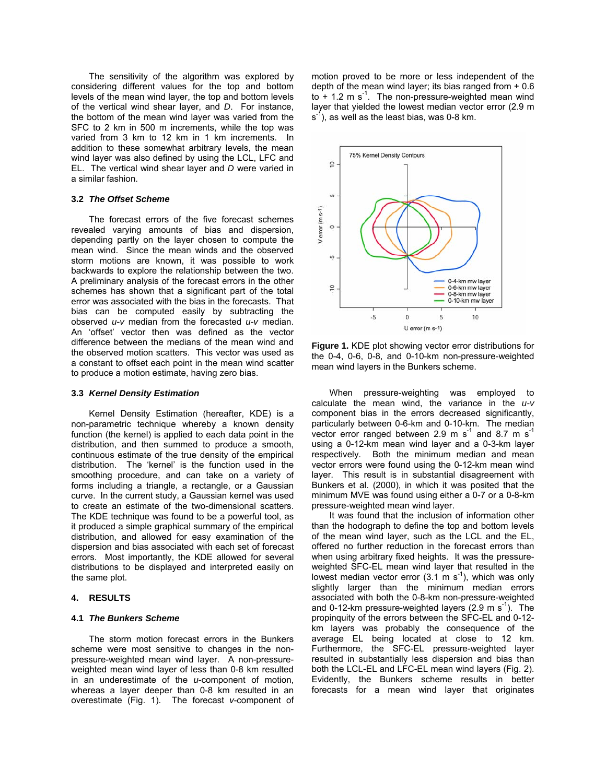The sensitivity of the algorithm was explored by considering different values for the top and bottom levels of the mean wind layer, the top and bottom levels of the vertical wind shear layer, and *D*. For instance, the bottom of the mean wind layer was varied from the SFC to 2 km in 500 m increments, while the top was varied from 3 km to 12 km in 1 km increments. In addition to these somewhat arbitrary levels, the mean wind layer was also defined by using the LCL, LFC and EL. The vertical wind shear layer and *D* were varied in a similar fashion.

#### **3.2** *The Offset Scheme*

The forecast errors of the five forecast schemes revealed varying amounts of bias and dispersion, depending partly on the layer chosen to compute the mean wind. Since the mean winds and the observed storm motions are known, it was possible to work backwards to explore the relationship between the two. A preliminary analysis of the forecast errors in the other schemes has shown that a significant part of the total error was associated with the bias in the forecasts. That bias can be computed easily by subtracting the observed *u*-*v* median from the forecasted *u*-*v* median. An 'offset' vector then was defined as the vector difference between the medians of the mean wind and the observed motion scatters. This vector was used as a constant to offset each point in the mean wind scatter to produce a motion estimate, having zero bias.

#### **3.3** *Kernel Density Estimation*

Kernel Density Estimation (hereafter, KDE) is a non-parametric technique whereby a known density function (the kernel) is applied to each data point in the distribution, and then summed to produce a smooth, continuous estimate of the true density of the empirical distribution. The 'kernel' is the function used in the smoothing procedure, and can take on a variety of forms including a triangle, a rectangle, or a Gaussian curve. In the current study, a Gaussian kernel was used to create an estimate of the two-dimensional scatters. The KDE technique was found to be a powerful tool, as it produced a simple graphical summary of the empirical distribution, and allowed for easy examination of the dispersion and bias associated with each set of forecast errors. Most importantly, the KDE allowed for several distributions to be displayed and interpreted easily on the same plot.

### **4. RESULTS**

#### **4.1** *The Bunkers Scheme*

The storm motion forecast errors in the Bunkers scheme were most sensitive to changes in the nonpressure-weighted mean wind layer. A non-pressureweighted mean wind layer of less than 0-8 km resulted in an underestimate of the *u*-component of motion, whereas a layer deeper than 0-8 km resulted in an overestimate (Fig. 1). The forecast *v*-component of motion proved to be more or less independent of the depth of the mean wind layer; its bias ranged from + 0.6 to  $+$  1.2 m s<sup>-1</sup>. The non-pressure-weighted mean wind layer that yielded the lowest median vector error (2.9 m  $s^1$ ), as well as the least bias, was 0-8 km.



**Figure 1.** KDE plot showing vector error distributions for the 0-4, 0-6, 0-8, and 0-10-km non-pressure-weighted mean wind layers in the Bunkers scheme.

When pressure-weighting was employed to calculate the mean wind, the variance in the *u-v* component bias in the errors decreased significantly, particularly between 0-6-km and 0-10-km. The median vector error ranged between 2.9 m  $s^{-1}$  and 8.7 m  $s^{-1}$ using a 0-12-km mean wind layer and a 0-3-km layer respectively. Both the minimum median and mean vector errors were found using the 0-12-km mean wind layer. This result is in substantial disagreement with Bunkers et al. (2000), in which it was posited that the minimum MVE was found using either a 0-7 or a 0-8-km pressure-weighted mean wind layer.

It was found that the inclusion of information other than the hodograph to define the top and bottom levels of the mean wind layer, such as the LCL and the EL, offered no further reduction in the forecast errors than when using arbitrary fixed heights. It was the pressureweighted SFC-EL mean wind layer that resulted in the lowest median vector error  $(3.1 \text{ m s}^{-1})$ , which was only slightly larger than the minimum median errors associated with both the 0-8-km non-pressure-weighted and 0-12-km pressure-weighted layers  $(2.9 \text{ m s}^{-1})$ . The propinquity of the errors between the SFC-EL and 0-12 km layers was probably the consequence of the average EL being located at close to 12 km. Furthermore, the SFC-EL pressure-weighted layer resulted in substantially less dispersion and bias than both the LCL-EL and LFC-EL mean wind layers (Fig. 2). Evidently, the Bunkers scheme results in better forecasts for a mean wind layer that originates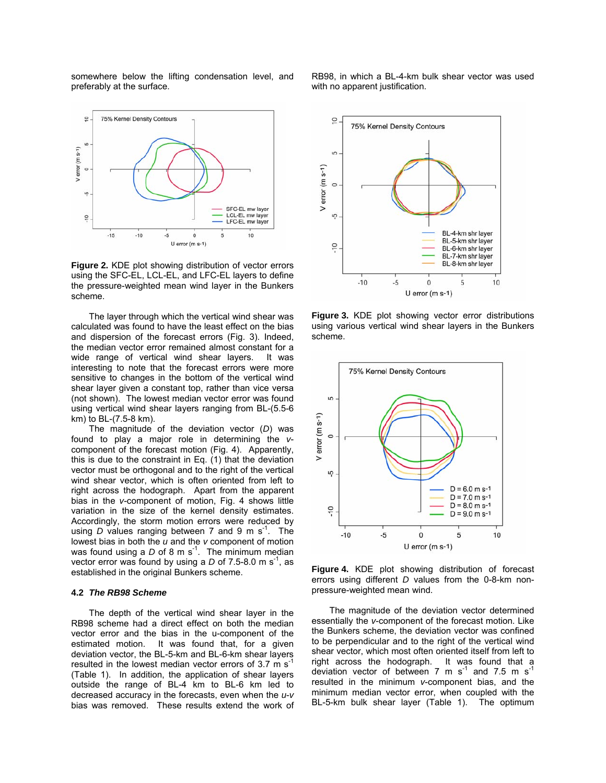somewhere below the lifting condensation level, and preferably at the surface.



**Figure 2.** KDE plot showing distribution of vector errors using the SFC-EL, LCL-EL, and LFC-EL layers to define the pressure-weighted mean wind layer in the Bunkers scheme.

The layer through which the vertical wind shear was calculated was found to have the least effect on the bias and dispersion of the forecast errors (Fig. 3). Indeed, the median vector error remained almost constant for a wide range of vertical wind shear layers. It was interesting to note that the forecast errors were more sensitive to changes in the bottom of the vertical wind shear layer given a constant top, rather than vice versa (not shown). The lowest median vector error was found using vertical wind shear layers ranging from BL-(5.5-6 km) to BL-(7.5-8 km).

The magnitude of the deviation vector (*D*) was found to play a major role in determining the *v*component of the forecast motion (Fig. 4). Apparently, this is due to the constraint in Eq. (1) that the deviation vector must be orthogonal and to the right of the vertical wind shear vector, which is often oriented from left to right across the hodograph. Apart from the apparent bias in the *v*-component of motion, Fig. 4 shows little variation in the size of the kernel density estimates. Accordingly, the storm motion errors were reduced by using *D* values ranging between 7 and 9 m  $s^{-1}$ . The lowest bias in both the *u* and the *v* component of motion was found using a  $D$  of 8 m s<sup>-1</sup>. The minimum median vector error was found by using a  $D$  of 7.5-8.0 m s<sup>-1</sup>, as established in the original Bunkers scheme.

## **4.2** *The RB98 Scheme*

The depth of the vertical wind shear layer in the RB98 scheme had a direct effect on both the median vector error and the bias in the u-component of the estimated motion. It was found that, for a given deviation vector, the BL-5-km and BL-6-km shear layers resulted in the lowest median vector errors of  $3.7 \text{ m s}^{-1}$ (Table 1). In addition, the application of shear layers outside the range of BL-4 km to BL-6 km led to decreased accuracy in the forecasts, even when the *u*-*v* bias was removed. These results extend the work of RB98, in which a BL-4-km bulk shear vector was used with no apparent justification.



**Figure 3.** KDE plot showing vector error distributions using various vertical wind shear layers in the Bunkers scheme.



**Figure 4.** KDE plot showing distribution of forecast errors using different *D* values from the 0-8-km nonpressure-weighted mean wind.

The magnitude of the deviation vector determined essentially the *v*-component of the forecast motion. Like the Bunkers scheme, the deviation vector was confined to be perpendicular and to the right of the vertical wind shear vector, which most often oriented itself from left to right across the hodograph. It was found that a deviation vector of between 7 m  $s^{-1}$  and 7.5 m  $s^{-1}$ resulted in the minimum *v*-component bias, and the minimum median vector error, when coupled with the BL-5-km bulk shear layer (Table 1). The optimum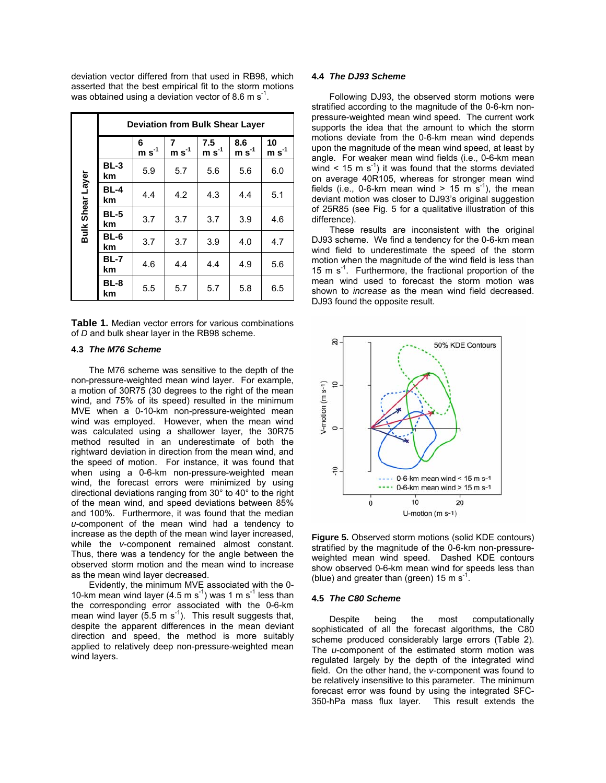deviation vector differed from that used in RB98, which asserted that the best empirical fit to the storm motions was obtained using a deviation vector of 8.6 m  $\mathrm{s}^{-1}$ .

|                  |                   | <b>Deviation from Bulk Shear Layer</b> |              |                |                |               |
|------------------|-------------------|----------------------------------------|--------------|----------------|----------------|---------------|
|                  |                   | 6<br>$m s-1$                           | 7<br>$m s-1$ | 7.5<br>$m s-1$ | 8.6<br>$m s-1$ | 10<br>$m s-1$ |
|                  | $BL-3$<br>km      | 5.9                                    | 5.7          | 5.6            | 5.6            | 6.0           |
| Bulk Shear Layer | <b>BL-4</b><br>km | 4.4                                    | 4.2          | 4.3            | 4.4            | 5.1           |
|                  | <b>BL-5</b><br>km | 3.7                                    | 3.7          | 3.7            | 3.9            | 4.6           |
|                  | BL-6<br>km        | 3.7                                    | 3.7          | 3.9            | 4.0            | 4.7           |
|                  | <b>BL-7</b><br>km | 4.6                                    | 4.4          | 4.4            | 4.9            | 5.6           |
|                  | BL-8<br>km        | 5.5                                    | 5.7          | 5.7            | 5.8            | 6.5           |

**Table 1.** Median vector errors for various combinations of *D* and bulk shear layer in the RB98 scheme.

#### **4.3** *The M76 Scheme*

The M76 scheme was sensitive to the depth of the non-pressure-weighted mean wind layer. For example, a motion of 30R75 (30 degrees to the right of the mean wind, and 75% of its speed) resulted in the minimum MVE when a 0-10-km non-pressure-weighted mean wind was employed. However, when the mean wind was calculated using a shallower layer, the 30R75 method resulted in an underestimate of both the rightward deviation in direction from the mean wind, and the speed of motion. For instance, it was found that when using a 0-6-km non-pressure-weighted mean wind, the forecast errors were minimized by using directional deviations ranging from 30° to 40° to the right of the mean wind, and speed deviations between 85% and 100%. Furthermore, it was found that the median *u*-component of the mean wind had a tendency to increase as the depth of the mean wind layer increased, while the *v*-component remained almost constant. Thus, there was a tendency for the angle between the observed storm motion and the mean wind to increase as the mean wind layer decreased.

Evidently, the minimum MVE associated with the 0- 10-km mean wind layer (4.5 m s<sup>-1</sup>) was 1 m s<sup>-1</sup> less than the corresponding error associated with the 0-6-km mean wind layer  $(5.5 \text{ m s}^{-1})$ . This result suggests that, despite the apparent differences in the mean deviant direction and speed, the method is more suitably applied to relatively deep non-pressure-weighted mean wind layers.

### **4.4** *The DJ93 Scheme*

Following DJ93, the observed storm motions were stratified according to the magnitude of the 0-6-km nonpressure-weighted mean wind speed. The current work supports the idea that the amount to which the storm motions deviate from the 0-6-km mean wind depends upon the magnitude of the mean wind speed, at least by angle. For weaker mean wind fields (i.e., 0-6-km mean wind < 15 m  $s^{-1}$ ) it was found that the storms deviated on average 40R105, whereas for stronger mean wind fields (i.e., 0-6-km mean wind  $> 15$  m s<sup>-1</sup>), the mean deviant motion was closer to DJ93's original suggestion of 25R85 (see Fig. 5 for a qualitative illustration of this difference).

These results are inconsistent with the original DJ93 scheme. We find a tendency for the 0-6-km mean wind field to underestimate the speed of the storm motion when the magnitude of the wind field is less than 15 m  $s^{-1}$ . Furthermore, the fractional proportion of the mean wind used to forecast the storm motion was shown to *increase* as the mean wind field decreased. DJ93 found the opposite result.



**Figure 5.** Observed storm motions (solid KDE contours) stratified by the magnitude of the 0-6-km non-pressureweighted mean wind speed. Dashed KDE contours show observed 0-6-km mean wind for speeds less than (blue) and greater than (green) 15 m  $s^{-1}$ .

#### **4.5** *The C80 Scheme*

Despite being the most computationally sophisticated of all the forecast algorithms, the C80 scheme produced considerably large errors (Table 2). The *u*-component of the estimated storm motion was regulated largely by the depth of the integrated wind field. On the other hand, the *v*-component was found to be relatively insensitive to this parameter. The minimum forecast error was found by using the integrated SFC-350-hPa mass flux layer. This result extends the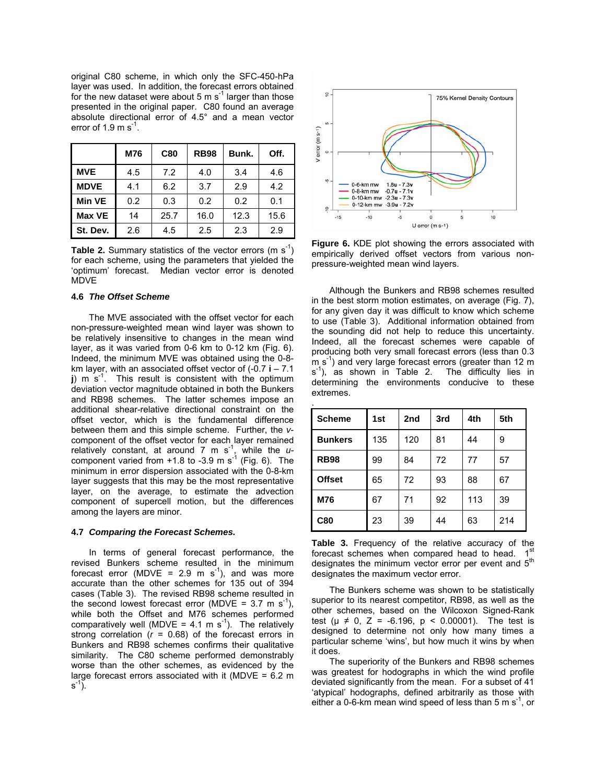original C80 scheme, in which only the SFC-450-hPa layer was used. In addition, the forecast errors obtained for the new dataset were about 5 m  $s^{-1}$  larger than those presented in the original paper. C80 found an average absolute directional error of 4.5° and a mean vector error of 1.9 m  $s^{-1}$ .

|             | M76 | C80  | <b>RB98</b> | Bunk. | Off. |
|-------------|-----|------|-------------|-------|------|
| <b>MVE</b>  | 4.5 | 7.2  | 4.0         | 3.4   | 4.6  |
| <b>MDVE</b> | 4.1 | 6.2  | 3.7         | 2.9   | 4.2  |
| Min VE      | 0.2 | 0.3  | 0.2         | 0.2   | 0.1  |
| Max VE      | 14  | 25.7 | 16.0        | 12.3  | 15.6 |
| St. Dev.    | 2.6 | 4.5  | 2.5         | 2.3   | 2.9  |

**Table 2.** Summary statistics of the vector errors (m  $s^{-1}$ ) for each scheme, using the parameters that yielded the 'optimum' forecast. Median vector error is denoted MDVE

#### **4.6** *The Offset Scheme*

The MVE associated with the offset vector for each non-pressure-weighted mean wind layer was shown to be relatively insensitive to changes in the mean wind layer, as it was varied from 0-6 km to 0-12 km (Fig. 6). Indeed, the minimum MVE was obtained using the 0-8 km layer, with an associated offset vector of (-0.7 **i** – 7.1  $j$ ) m s<sup>-1</sup>. This result is consistent with the optimum deviation vector magnitude obtained in both the Bunkers and RB98 schemes. The latter schemes impose an additional shear-relative directional constraint on the offset vector, which is the fundamental difference between them and this simple scheme. Further, the *v*component of the offset vector for each layer remained relatively constant, at around 7 m s<sup>-1</sup>, while the  $u$ component varied from  $+1.8$  to -3.9 m s<sup>-1</sup> (Fig. 6). The minimum in error dispersion associated with the 0-8-km layer suggests that this may be the most representative layer, on the average, to estimate the advection component of supercell motion, but the differences among the layers are minor.

#### **4.7** *Comparing the Forecast Schemes.*

In terms of general forecast performance, the revised Bunkers scheme resulted in the minimum forecast error (MDVE = 2.9 m s<sup>-1</sup>), and was more accurate than the other schemes for 135 out of 394 cases (Table 3). The revised RB98 scheme resulted in the second lowest forecast error (MDVE =  $3.7 \text{ m s}^{-1}$ ), while both the Offset and M76 schemes performed comparatively well (MDVE = 4.1 m s<sup>-1</sup>). The relatively strong correlation  $(r = 0.68)$  of the forecast errors in Bunkers and RB98 schemes confirms their qualitative similarity. The C80 scheme performed demonstrably worse than the other schemes, as evidenced by the large forecast errors associated with it (MDVE =  $6.2 \text{ m}$ )  $s^{-1}$ ).



**Figure 6.** KDE plot showing the errors associated with empirically derived offset vectors from various nonpressure-weighted mean wind layers.

Although the Bunkers and RB98 schemes resulted in the best storm motion estimates, on average (Fig. 7), for any given day it was difficult to know which scheme to use (Table 3). Additional information obtained from the sounding did not help to reduce this uncertainty. Indeed, all the forecast schemes were capable of producing both very small forecast errors (less than 0.3  $m s<sup>-1</sup>$ ) and very large forecast errors (greater than 12 m  $s^{-1}$ ), as shown in Table 2. The difficulty lies in determining the environments conducive to these extremes.

| <b>Scheme</b>  | 1st | 2nd | 3rd | 4th | 5th |
|----------------|-----|-----|-----|-----|-----|
| <b>Bunkers</b> | 135 | 120 | 81  | 44  | 9   |
| <b>RB98</b>    | 99  | 84  | 72  | 77  | 57  |
| <b>Offset</b>  | 65  | 72  | 93  | 88  | 67  |
| M76            | 67  | 71  | 92  | 113 | 39  |
| <b>C80</b>     | 23  | 39  | 44  | 63  | 214 |

|  | <b>Table 3.</b> Frequency of the relative accuracy of the         |  |  |  |  |
|--|-------------------------------------------------------------------|--|--|--|--|
|  | forecast schemes when compared head to head. 1st                  |  |  |  |  |
|  | designates the minimum vector error per event and 5 <sup>th</sup> |  |  |  |  |
|  | designates the maximum vector error.                              |  |  |  |  |

The Bunkers scheme was shown to be statistically superior to its nearest competitor, RB98, as well as the other schemes, based on the Wilcoxon Signed-Rank test ( $\mu \neq 0$ , Z = -6.196,  $p < 0.00001$ ). The test is designed to determine not only how many times a particular scheme 'wins', but how much it wins by when it does.

The superiority of the Bunkers and RB98 schemes was greatest for hodographs in which the wind profile deviated significantly from the mean. For a subset of 41 'atypical' hodographs, defined arbitrarily as those with either a 0-6-km mean wind speed of less than  $5 \text{ m s}^{-1}$ , or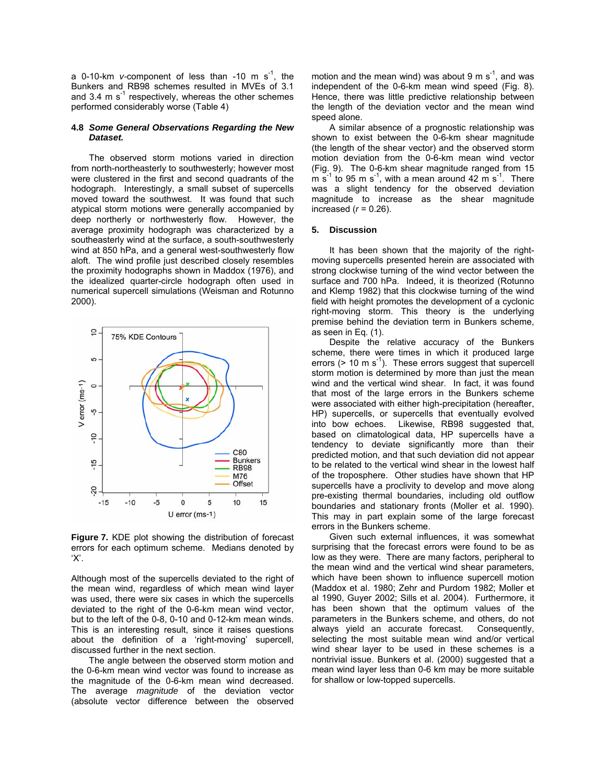a 0-10-km *v*-component of less than -10 m  $s^{-1}$ , the Bunkers and RB98 schemes resulted in MVEs of 3.1 and 3.4 m  $s^{-1}$  respectively, whereas the other schemes performed considerably worse (Table 4)

#### **4.8** *Some General Observations Regarding the New Dataset.*

The observed storm motions varied in direction from north-northeasterly to southwesterly; however most were clustered in the first and second quadrants of the hodograph. Interestingly, a small subset of supercells moved toward the southwest. It was found that such atypical storm motions were generally accompanied by deep northerly or northwesterly flow. However, the average proximity hodograph was characterized by a southeasterly wind at the surface, a south-southwesterly wind at 850 hPa, and a general west-southwesterly flow aloft. The wind profile just described closely resembles the proximity hodographs shown in Maddox (1976), and the idealized quarter-circle hodograph often used in numerical supercell simulations (Weisman and Rotunno 2000).



**Figure 7.** KDE plot showing the distribution of forecast errors for each optimum scheme. Medians denoted by 'X'.

Although most of the supercells deviated to the right of the mean wind, regardless of which mean wind layer was used, there were six cases in which the supercells deviated to the right of the 0-6-km mean wind vector, but to the left of the 0-8, 0-10 and 0-12-km mean winds. This is an interesting result, since it raises questions about the definition of a 'right-moving' supercell, discussed further in the next section.

The angle between the observed storm motion and the 0-6-km mean wind vector was found to increase as the magnitude of the 0-6-km mean wind decreased. The average *magnitude* of the deviation vector (absolute vector difference between the observed

motion and the mean wind) was about 9 m  $s^{-1}$ , and was independent of the 0-6-km mean wind speed (Fig. 8). Hence, there was little predictive relationship between the length of the deviation vector and the mean wind speed alone.

A similar absence of a prognostic relationship was shown to exist between the 0-6-km shear magnitude (the length of the shear vector) and the observed storm motion deviation from the 0-6-km mean wind vector (Fig. 9). The 0-6-km shear magnitude ranged from 15  $\overline{m}$  s<sup>-1</sup> to 95 m s<sup>-1</sup>, with a mean around 42 m s<sup>-1</sup>. There was a slight tendency for the observed deviation magnitude to increase as the shear magnitude increased (*r* = 0.26).

#### **5. Discussion**

It has been shown that the majority of the rightmoving supercells presented herein are associated with strong clockwise turning of the wind vector between the surface and 700 hPa. Indeed, it is theorized (Rotunno and Klemp 1982) that this clockwise turning of the wind field with height promotes the development of a cyclonic right-moving storm. This theory is the underlying premise behind the deviation term in Bunkers scheme, as seen in Eq. (1).

Despite the relative accuracy of the Bunkers scheme, there were times in which it produced large errors ( $> 10 \text{ m s}^{-1}$ ). These errors suggest that supercell storm motion is determined by more than just the mean wind and the vertical wind shear. In fact, it was found that most of the large errors in the Bunkers scheme were associated with either high-precipitation (hereafter, HP) supercells, or supercells that eventually evolved into bow echoes. Likewise, RB98 suggested that, based on climatological data, HP supercells have a tendency to deviate significantly more than their predicted motion, and that such deviation did not appear to be related to the vertical wind shear in the lowest half of the troposphere. Other studies have shown that HP supercells have a proclivity to develop and move along pre-existing thermal boundaries, including old outflow boundaries and stationary fronts (Moller et al. 1990). This may in part explain some of the large forecast errors in the Bunkers scheme.

Given such external influences, it was somewhat surprising that the forecast errors were found to be as low as they were. There are many factors, peripheral to the mean wind and the vertical wind shear parameters, which have been shown to influence supercell motion (Maddox et al. 1980; Zehr and Purdom 1982; Moller et al 1990, Guyer 2002; Sills et al. 2004). Furthermore, it has been shown that the optimum values of the parameters in the Bunkers scheme, and others, do not always yield an accurate forecast. Consequently, selecting the most suitable mean wind and/or vertical wind shear layer to be used in these schemes is a nontrivial issue. Bunkers et al. (2000) suggested that a mean wind layer less than 0-6 km may be more suitable for shallow or low-topped supercells.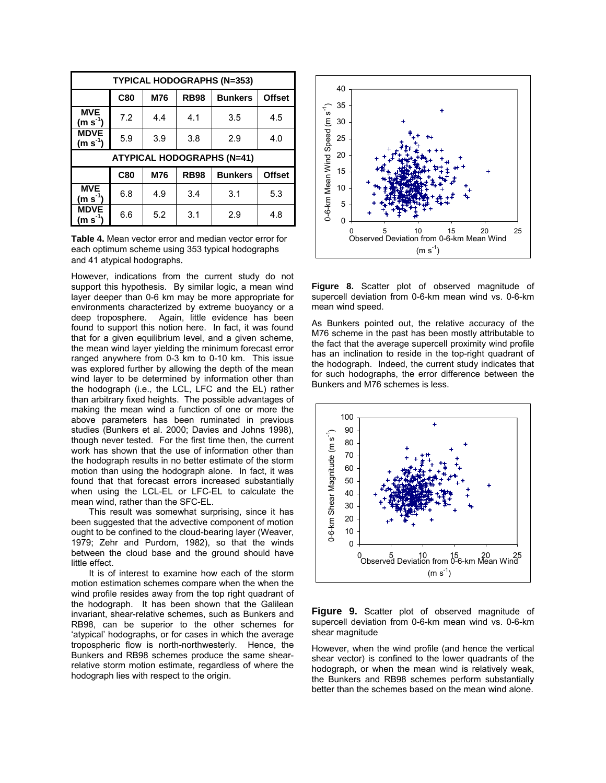|                                   | <b>TYPICAL HODOGRAPHS (N=353)</b> |     |             |                |               |  |  |  |  |
|-----------------------------------|-----------------------------------|-----|-------------|----------------|---------------|--|--|--|--|
|                                   | C80                               | M76 | <b>RB98</b> | <b>Bunkers</b> | <b>Offset</b> |  |  |  |  |
| <b>MVE</b><br>(m s $^{\text{-}1}$ | 7.2                               | 4.4 | 4.1         | 3.5            | 4.5           |  |  |  |  |
| <b>MDVE</b><br>$(m s-1)$          | 5.9                               | 3.9 | 3.8         | 2.9            | 4.0           |  |  |  |  |
| <b>ATYPICAL HODOGRAPHS (N=41)</b> |                                   |     |             |                |               |  |  |  |  |
|                                   |                                   |     |             |                |               |  |  |  |  |
|                                   | C80                               | M76 | <b>RB98</b> | <b>Bunkers</b> | <b>Offset</b> |  |  |  |  |
| <b>MVE</b><br>(m s $^{-1}$ )      | 6.8                               | 4.9 | 3.4         | 3.1            | 5.3           |  |  |  |  |

**Table 4.** Mean vector error and median vector error for each optimum scheme using 353 typical hodographs and 41 atypical hodographs.

However, indications from the current study do not support this hypothesis. By similar logic, a mean wind layer deeper than 0-6 km may be more appropriate for environments characterized by extreme buoyancy or a deep troposphere. Again, little evidence has been found to support this notion here. In fact, it was found that for a given equilibrium level, and a given scheme, the mean wind layer yielding the minimum forecast error ranged anywhere from 0-3 km to 0-10 km. This issue was explored further by allowing the depth of the mean wind layer to be determined by information other than the hodograph (i.e., the LCL, LFC and the EL) rather than arbitrary fixed heights. The possible advantages of making the mean wind a function of one or more the above parameters has been ruminated in previous studies (Bunkers et al. 2000; Davies and Johns 1998), though never tested. For the first time then, the current work has shown that the use of information other than the hodograph results in no better estimate of the storm motion than using the hodograph alone. In fact, it was found that that forecast errors increased substantially when using the LCL-EL or LFC-EL to calculate the mean wind, rather than the SFC-EL.

This result was somewhat surprising, since it has been suggested that the advective component of motion ought to be confined to the cloud-bearing layer (Weaver, 1979; Zehr and Purdom, 1982), so that the winds between the cloud base and the ground should have little effect.

It is of interest to examine how each of the storm motion estimation schemes compare when the when the wind profile resides away from the top right quadrant of the hodograph. It has been shown that the Galilean invariant, shear-relative schemes, such as Bunkers and RB98, can be superior to the other schemes for 'atypical' hodographs, or for cases in which the average tropospheric flow is north-northwesterly. Hence, the Bunkers and RB98 schemes produce the same shearrelative storm motion estimate, regardless of where the hodograph lies with respect to the origin.



**Figure 8.** Scatter plot of observed magnitude of supercell deviation from 0-6-km mean wind vs. 0-6-km mean wind speed.

As Bunkers pointed out, the relative accuracy of the M76 scheme in the past has been mostly attributable to the fact that the average supercell proximity wind profile has an inclination to reside in the top-right quadrant of the hodograph. Indeed, the current study indicates that for such hodographs, the error difference between the Bunkers and M76 schemes is less.



**Figure 9.** Scatter plot of observed magnitude of supercell deviation from 0-6-km mean wind vs. 0-6-km shear magnitude

However, when the wind profile (and hence the vertical shear vector) is confined to the lower quadrants of the hodograph, or when the mean wind is relatively weak, the Bunkers and RB98 schemes perform substantially better than the schemes based on the mean wind alone.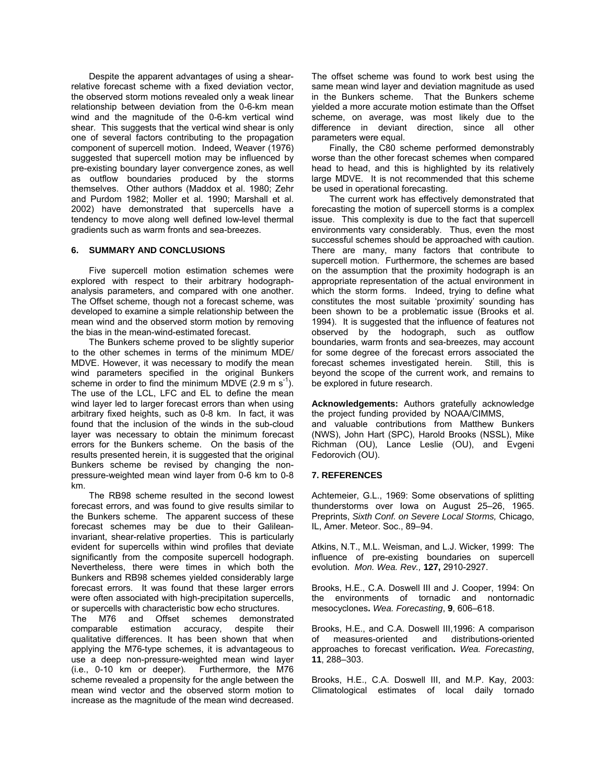Despite the apparent advantages of using a shearrelative forecast scheme with a fixed deviation vector, the observed storm motions revealed only a weak linear relationship between deviation from the 0-6-km mean wind and the magnitude of the 0-6-km vertical wind shear. This suggests that the vertical wind shear is only one of several factors contributing to the propagation component of supercell motion. Indeed, Weaver (1976) suggested that supercell motion may be influenced by pre-existing boundary layer convergence zones, as well as outflow boundaries produced by the storms themselves. Other authors (Maddox et al. 1980; Zehr and Purdom 1982; Moller et al. 1990; Marshall et al. 2002) have demonstrated that supercells have a tendency to move along well defined low-level thermal gradients such as warm fronts and sea-breezes.

### **6. SUMMARY AND CONCLUSIONS**

 Five supercell motion estimation schemes were explored with respect to their arbitrary hodographanalysis parameters, and compared with one another. The Offset scheme, though not a forecast scheme, was developed to examine a simple relationship between the mean wind and the observed storm motion by removing the bias in the mean-wind-estimated forecast.

 The Bunkers scheme proved to be slightly superior to the other schemes in terms of the minimum MDE/ MDVE. However, it was necessary to modify the mean wind parameters specified in the original Bunkers scheme in order to find the minimum MDVE  $(2.9 \text{ m s}^{-1})$ . The use of the LCL, LFC and EL to define the mean wind layer led to larger forecast errors than when using arbitrary fixed heights, such as 0-8 km. In fact, it was found that the inclusion of the winds in the sub-cloud layer was necessary to obtain the minimum forecast errors for the Bunkers scheme. On the basis of the results presented herein, it is suggested that the original Bunkers scheme be revised by changing the nonpressure-weighted mean wind layer from 0-6 km to 0-8 km.

 The RB98 scheme resulted in the second lowest forecast errors, and was found to give results similar to the Bunkers scheme. The apparent success of these forecast schemes may be due to their Galileaninvariant, shear-relative properties. This is particularly evident for supercells within wind profiles that deviate significantly from the composite supercell hodograph. Nevertheless, there were times in which both the Bunkers and RB98 schemes yielded considerably large forecast errors. It was found that these larger errors were often associated with high-precipitation supercells, or supercells with characteristic bow echo structures.

The M76 and Offset schemes demonstrated comparable estimation accuracy, despite their qualitative differences. It has been shown that when applying the M76-type schemes, it is advantageous to use a deep non-pressure-weighted mean wind layer (i.e., 0-10 km or deeper). Furthermore, the M76 scheme revealed a propensity for the angle between the mean wind vector and the observed storm motion to increase as the magnitude of the mean wind decreased.

The offset scheme was found to work best using the same mean wind layer and deviation magnitude as used in the Bunkers scheme. That the Bunkers scheme yielded a more accurate motion estimate than the Offset scheme, on average, was most likely due to the difference in deviant direction, since all other parameters were equal.

 Finally, the C80 scheme performed demonstrably worse than the other forecast schemes when compared head to head, and this is highlighted by its relatively large MDVE. It is not recommended that this scheme be used in operational forecasting.

 The current work has effectively demonstrated that forecasting the motion of supercell storms is a complex issue. This complexity is due to the fact that supercell environments vary considerably. Thus, even the most successful schemes should be approached with caution. There are many, many factors that contribute to supercell motion. Furthermore, the schemes are based on the assumption that the proximity hodograph is an appropriate representation of the actual environment in which the storm forms. Indeed, trying to define what constitutes the most suitable 'proximity' sounding has been shown to be a problematic issue (Brooks et al. 1994). It is suggested that the influence of features not observed by the hodograph, such as outflow boundaries, warm fronts and sea-breezes, may account for some degree of the forecast errors associated the forecast schemes investigated herein. Still, this is beyond the scope of the current work, and remains to be explored in future research.

**Acknowledgements:** Authors gratefully acknowledge the project funding provided by NOAA/CIMMS,

and valuable contributions from Matthew Bunkers (NWS), John Hart (SPC), Harold Brooks (NSSL), Mike Richman (OU), Lance Leslie (OU), and Evgeni Fedorovich (OU).

## **7. REFERENCES**

Achtemeier, G.L., 1969: Some observations of splitting thunderstorms over Iowa on August 25–26, 1965. Preprints, *Sixth Conf. on Severe Local Storms,* Chicago, IL, Amer. Meteor. Soc., 89–94.

Atkins, N.T., M.L. Weisman, and L.J. Wicker, 1999: The influence of pre-existing boundaries on supercell evolution. *Mon. Wea. Rev.,* **127,** 2910-2927.

Brooks, H.E., C.A. Doswell III and J. Cooper, 1994: On the environments of tornadic and nontornadic mesocyclones**.** *Wea. Forecasting*, **9**, 606–618.

Brooks, H.E., and C.A. Doswell III,1996: A comparison of measures-oriented and distributions-oriented approaches to forecast verification**.** *Wea. Forecasting*, **11**, 288–303.

Brooks, H.E., C.A. Doswell III, and M.P. Kay, 2003: Climatological estimates of local daily tornado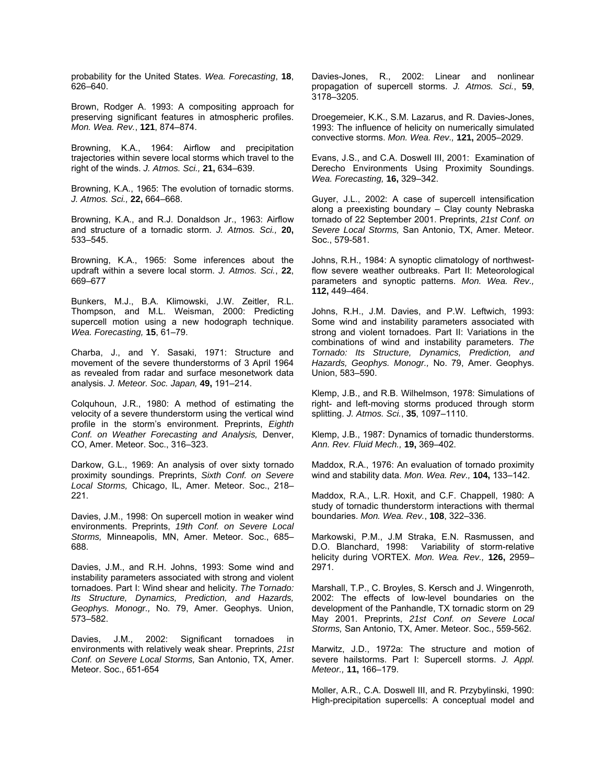probability for the United States. *Wea. Forecasting*, **18**, 626–640.

Brown, Rodger A. 1993: A compositing approach for preserving significant features in atmospheric profiles. *Mon. Wea. Rev.*, **121**, 874–874.

Browning, K.A., 1964: Airflow and precipitation trajectories within severe local storms which travel to the right of the winds. *J. Atmos. Sci.,* **21,** 634–639.

Browning, K.A., 1965: The evolution of tornadic storms. *J. Atmos. Sci.,* **22,** 664–668.

Browning, K.A., and R.J. Donaldson Jr., 1963: Airflow and structure of a tornadic storm. *J. Atmos. Sci.,* **20,** 533–545.

Browning, K.A., 1965: Some inferences about the updraft within a severe local storm. *J. Atmos. Sci.*, **22**, 669–677

Bunkers, M.J., B.A. Klimowski, J.W. Zeitler, R.L. Thompson, and M.L. Weisman, 2000: Predicting supercell motion using a new hodograph technique. *Wea. Forecasting,* **15**, 61–79.

Charba, J., and Y. Sasaki, 1971: Structure and movement of the severe thunderstorms of 3 April 1964 as revealed from radar and surface mesonetwork data analysis. *J. Meteor. Soc. Japan,* **49,** 191–214.

Colquhoun, J.R., 1980: A method of estimating the velocity of a severe thunderstorm using the vertical wind profile in the storm's environment. Preprints, *Eighth Conf. on Weather Forecasting and Analysis,* Denver, CO, Amer. Meteor. Soc., 316–323.

Darkow, G.L., 1969: An analysis of over sixty tornado proximity soundings. Preprints, *Sixth Conf. on Severe Local Storms,* Chicago, IL, Amer. Meteor. Soc., 218– 221.

Davies, J.M., 1998: On supercell motion in weaker wind environments. Preprints, *19th Conf. on Severe Local Storms,* Minneapolis, MN, Amer. Meteor. Soc., 685– 688.

Davies, J.M., and R.H. Johns, 1993: Some wind and instability parameters associated with strong and violent tornadoes. Part I: Wind shear and helicity. *The Tornado: Its Structure, Dynamics, Prediction, and Hazards, Geophys. Monogr.,* No. 79, Amer. Geophys. Union, 573–582.

Davies, J.M., 2002: Significant tornadoes in environments with relatively weak shear. Preprints, *21st Conf. on Severe Local Storms,* San Antonio, TX, Amer. Meteor. Soc., 651-654

Davies-Jones, R., 2002: Linear and nonlinear propagation of supercell storms. *J. Atmos. Sci.*, **59**, 3178–3205.

Droegemeier, K.K., S.M. Lazarus, and R. Davies-Jones, 1993: The influence of helicity on numerically simulated convective storms. *Mon. Wea. Rev.,* **121,** 2005–2029.

Evans, J.S., and C.A. Doswell III, 2001: Examination of Derecho Environments Using Proximity Soundings. *Wea. Forecasting,* **16,** 329–342.

Guyer, J.L., 2002: A case of supercell intensification along a preexisting boundary – Clay county Nebraska tornado of 22 September 2001. Preprints, *21st Conf. on Severe Local Storms,* San Antonio, TX, Amer. Meteor. Soc., 579-581.

Johns, R.H., 1984: A synoptic climatology of northwestflow severe weather outbreaks. Part II: Meteorological parameters and synoptic patterns. *Mon. Wea. Rev.,* **112,** 449–464.

Johns, R.H., J.M. Davies, and P.W. Leftwich, 1993: Some wind and instability parameters associated with strong and violent tornadoes. Part II: Variations in the combinations of wind and instability parameters. *The Tornado: Its Structure, Dynamics, Prediction, and Hazards, Geophys. Monogr.,* No. 79, Amer. Geophys. Union, 583–590.

Klemp, J.B., and R.B. Wilhelmson, 1978: Simulations of right- and left-moving storms produced through storm splitting. *J. Atmos. Sci.*, **35**, 1097–1110.

Klemp, J.B., 1987: Dynamics of tornadic thunderstorms. *Ann. Rev. Fluid Mech.,* **19,** 369–402.

Maddox, R.A., 1976: An evaluation of tornado proximity wind and stability data. *Mon. Wea. Rev.,* **104,** 133–142.

Maddox, R.A., L.R. Hoxit, and C.F. Chappell, 1980: A study of tornadic thunderstorm interactions with thermal boundaries. *Mon. Wea. Rev.*, **108**, 322–336.

Markowski, P.M., J.M Straka, E.N. Rasmussen, and D.O. Blanchard, 1998: Variability of storm-relative helicity during VORTEX. *Mon. Wea. Rev.,* **126,** 2959– 2971.

Marshall, T.P., C. Broyles, S. Kersch and J. Wingenroth, 2002: The effects of low-level boundaries on the development of the Panhandle, TX tornadic storm on 29 May 2001. Preprints, *21st Conf. on Severe Local Storms,* San Antonio, TX, Amer. Meteor. Soc., 559-562.

Marwitz, J.D., 1972a: The structure and motion of severe hailstorms. Part I: Supercell storms. *J. Appl. Meteor.,* **11,** 166–179.

Moller, A.R., C.A. Doswell III, and R. Przybylinski, 1990: High-precipitation supercells: A conceptual model and